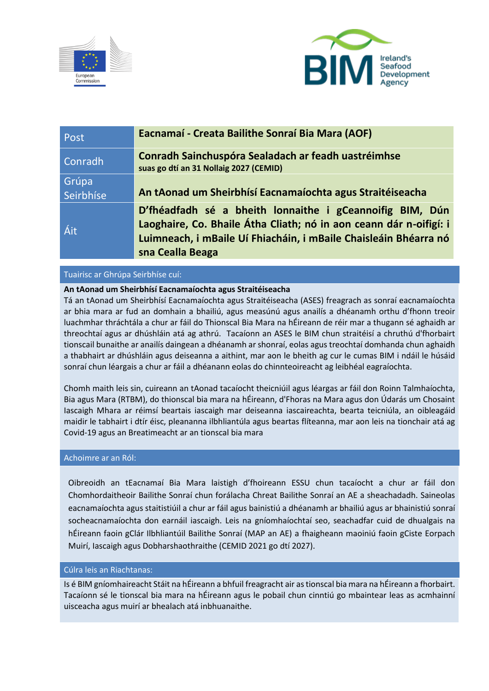



| Post               | Eacnamaí - Creata Bailithe Sonraí Bia Mara (AOF)                                                                                                                                                                       |
|--------------------|------------------------------------------------------------------------------------------------------------------------------------------------------------------------------------------------------------------------|
| Conradh            | Conradh Sainchuspóra Sealadach ar feadh uastréimhse<br>suas go dtí an 31 Nollaig 2027 (CEMID)                                                                                                                          |
| Grúpa<br>Seirbhíse | An tAonad um Sheirbhísí Eacnamaíochta agus Straitéiseacha                                                                                                                                                              |
| Áit                | D'fhéadfadh sé a bheith lonnaithe i gCeannoifig BIM, Dún<br>Laoghaire, Co. Bhaile Átha Cliath; nó in aon ceann dár n-oifigí: i<br>Luimneach, i mBaile Uí Fhiacháin, i mBaile Chaisleáin Bhéarra nó<br>sna Cealla Beaga |

# Tuairisc ar Ghrúpa Seirbhíse cuí:

# **An tAonad um Sheirbhísí Eacnamaíochta agus Straitéiseacha**

Tá an tAonad um Sheirbhísí Eacnamaíochta agus Straitéiseacha (ASES) freagrach as sonraí eacnamaíochta ar bhia mara ar fud an domhain a bhailiú, agus measúnú agus anailís a dhéanamh orthu d'fhonn treoir luachmhar thráchtála a chur ar fáil do Thionscal Bia Mara na hÉireann de réir mar a thugann sé aghaidh ar threochtaí agus ar dhúshláin atá ag athrú. Tacaíonn an ASES le BIM chun straitéisí a chruthú d'fhorbairt tionscail bunaithe ar anailís daingean a dhéanamh ar shonraí, eolas agus treochtaí domhanda chun aghaidh a thabhairt ar dhúshláin agus deiseanna a aithint, mar aon le bheith ag cur le cumas BIM i ndáil le húsáid sonraí chun léargais a chur ar fáil a dhéanann eolas do chinnteoireacht ag leibhéal eagraíochta.

Chomh maith leis sin, cuireann an tAonad tacaíocht theicniúil agus léargas ar fáil don Roinn Talmhaíochta, Bia agus Mara (RTBM), do thionscal bia mara na hÉireann, d'Fhoras na Mara agus don Údarás um Chosaint Iascaigh Mhara ar réimsí beartais iascaigh mar deiseanna iascaireachta, bearta teicniúla, an oibleagáid maidir le tabhairt i dtír éisc, pleananna ilbhliantúla agus beartas flíteanna, mar aon leis na tionchair atá ag Covid-19 agus an Breatimeacht ar an tionscal bia mara

### Achoimre ar an Ról:

Oibreoidh an tEacnamaí Bia Mara laistigh d'fhoireann ESSU chun tacaíocht a chur ar fáil don Chomhordaitheoir Bailithe Sonraí chun forálacha Chreat Bailithe Sonraí an AE a sheachadadh. Saineolas eacnamaíochta agus staitistiúil a chur ar fáil agus bainistiú a dhéanamh ar bhailiú agus ar bhainistiú sonraí socheacnamaíochta don earnáil iascaigh. Leis na gníomhaíochtaí seo, seachadfar cuid de dhualgais na hÉireann faoin gClár Ilbhliantúil Bailithe Sonraí (MAP an AE) a fhaigheann maoiniú faoin gCiste Eorpach Muirí, Iascaigh agus Dobharshaothraithe (CEMID 2021 go dtí 2027).

### Cúlra leis an Riachtanas:

Is é BIM gníomhaireacht Stáit na hÉireann a bhfuil freagracht air as tionscal bia mara na hÉireann a fhorbairt. Tacaíonn sé le tionscal bia mara na hÉireann agus le pobail chun cinntiú go mbaintear leas as acmhainní uisceacha agus muirí ar bhealach atá inbhuanaithe.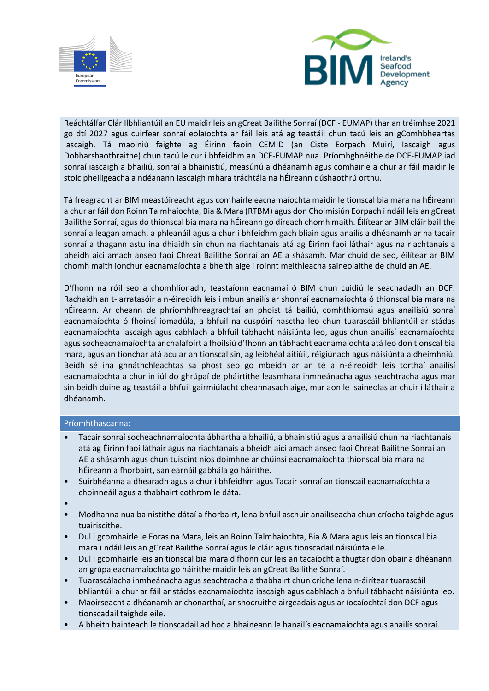



Reáchtálfar Clár Ilbhliantúil an EU maidir leis an gCreat Bailithe Sonraí (DCF - EUMAP) thar an tréimhse 2021 go dtí 2027 agus cuirfear sonraí eolaíochta ar fáil leis atá ag teastáil chun tacú leis an gComhbheartas Iascaigh. Tá maoiniú faighte ag Éirinn faoin CEMID (an Ciste Eorpach Muirí, Iascaigh agus Dobharshaothraithe) chun tacú le cur i bhfeidhm an DCF-EUMAP nua. Príomhghnéithe de DCF-EUMAP iad sonraí iascaigh a bhailiú, sonraí a bhainistiú, measúnú a dhéanamh agus comhairle a chur ar fáil maidir le stoic pheiligeacha a ndéanann iascaigh mhara tráchtála na hÉireann dúshaothrú orthu.

Tá freagracht ar BIM meastóireacht agus comhairle eacnamaíochta maidir le tionscal bia mara na hÉireann a chur ar fáil don Roinn Talmhaíochta, Bia & Mara (RTBM) agus don Choimisiún Eorpach i ndáil leis an gCreat Bailithe Sonraí, agus do thionscal bia mara na hÉireann go díreach chomh maith. Éilítear ar BIM cláir bailithe sonraí a leagan amach, a phleanáil agus a chur i bhfeidhm gach bliain agus anailís a dhéanamh ar na tacair sonraí a thagann astu ina dhiaidh sin chun na riachtanais atá ag Éirinn faoi láthair agus na riachtanais a bheidh aici amach anseo faoi Chreat Bailithe Sonraí an AE a shásamh. Mar chuid de seo, éilítear ar BIM chomh maith ionchur eacnamaíochta a bheith aige i roinnt meithleacha saineolaithe de chuid an AE.

D'fhonn na róil seo a chomhlíonadh, teastaíonn eacnamaí ó BIM chun cuidiú le seachadadh an DCF. Rachaidh an t-iarratasóir a n-éireoidh leis i mbun anailís ar shonraí eacnamaíochta ó thionscal bia mara na hÉireann. Ar cheann de phríomhfhreagrachtaí an phoist tá bailiú, comhthiomsú agus anailísiú sonraí eacnamaíochta ó fhoinsí iomadúla, a bhfuil na cuspóirí nasctha leo chun tuarascáil bhliantúil ar stádas eacnamaíochta iascaigh agus cabhlach a bhfuil tábhacht náisiúnta leo, agus chun anailísí eacnamaíochta agus socheacnamaíochta ar chalafoirt a fhoilsiú d'fhonn an tábhacht eacnamaíochta atá leo don tionscal bia mara, agus an tionchar atá acu ar an tionscal sin, ag leibhéal áitiúil, réigiúnach agus náisiúnta a dheimhniú. Beidh sé ina ghnáthchleachtas sa phost seo go mbeidh ar an té a n-éireoidh leis torthaí anailísí eacnamaíochta a chur in iúl do ghrúpaí de pháirtithe leasmhara inmheánacha agus seachtracha agus mar sin beidh duine ag teastáil a bhfuil gairmiúlacht cheannasach aige, mar aon le saineolas ar chuir i láthair a dhéanamh.

### Príomhthascanna:

- Tacair sonraí socheachnamaíochta ábhartha a bhailiú, a bhainistiú agus a anailísiú chun na riachtanais atá ag Éirinn faoi láthair agus na riachtanais a bheidh aici amach anseo faoi Chreat Bailithe Sonraí an AE a shásamh agus chun tuiscint níos doimhne ar chúinsí eacnamaíochta thionscal bia mara na hÉireann a fhorbairt, san earnáil gabhála go háirithe.
- Suirbhéanna a dhearadh agus a chur i bhfeidhm agus Tacair sonraí an tionscail eacnamaíochta a choinneáil agus a thabhairt cothrom le dáta.
- •
- Modhanna nua bainistithe dátaí a fhorbairt, lena bhfuil aschuir anailíseacha chun críocha taighde agus tuairiscithe.
- Dul i gcomhairle le Foras na Mara, leis an Roinn Talmhaíochta, Bia & Mara agus leis an tionscal bia mara i ndáil leis an gCreat Bailithe Sonraí agus le cláir agus tionscadail náisiúnta eile.
- Dul i gcomhairle leis an tionscal bia mara d'fhonn cur leis an tacaíocht a thugtar don obair a dhéanann an grúpa eacnamaíochta go háirithe maidir leis an gCreat Bailithe Sonraí.
- Tuarascálacha inmheánacha agus seachtracha a thabhairt chun críche lena n-áirítear tuarascáil bhliantúil a chur ar fáil ar stádas eacnamaíochta iascaigh agus cabhlach a bhfuil tábhacht náisiúnta leo.
- Maoirseacht a dhéanamh ar chonarthaí, ar shocruithe airgeadais agus ar íocaíochtaí don DCF agus tionscadail taighde eile.
- A bheith bainteach le tionscadail ad hoc a bhaineann le hanailís eacnamaíochta agus anailís sonraí.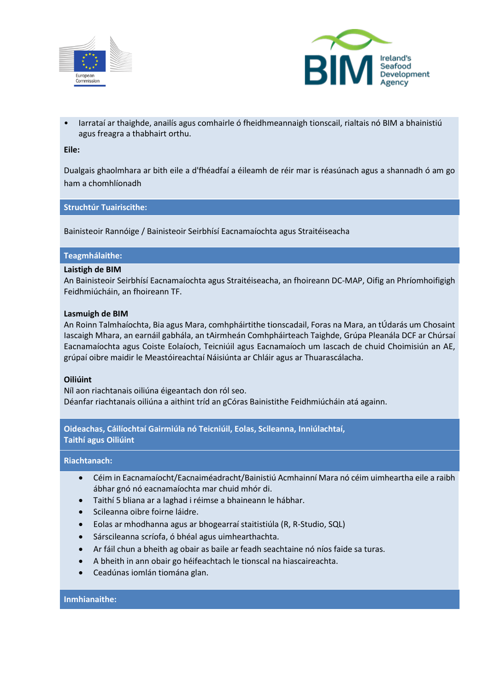



• Iarrataí ar thaighde, anailís agus comhairle ó fheidhmeannaigh tionscail, rialtais nó BIM a bhainistiú agus freagra a thabhairt orthu.

### **Eile:**

Dualgais ghaolmhara ar bith eile a d'fhéadfaí a éileamh de réir mar is réasúnach agus a shannadh ó am go ham a chomhlíonadh

### **Struchtúr Tuairiscithe:**

Bainisteoir Rannóige / Bainisteoir Seirbhísí Eacnamaíochta agus Straitéiseacha

### **Teagmhálaithe:**

### **Laistigh de BIM**

An Bainisteoir Seirbhísí Eacnamaíochta agus Straitéiseacha, an fhoireann DC-MAP, Oifig an Phríomhoifigigh Feidhmiúcháin, an fhoireann TF.

#### **Lasmuigh de BIM**

An Roinn Talmhaíochta, Bia agus Mara, comhpháirtithe tionscadail, Foras na Mara, an tÚdarás um Chosaint Iascaigh Mhara, an earnáil gabhála, an tAirmheán Comhpháirteach Taighde, Grúpa Pleanála DCF ar Chúrsaí Eacnamaíochta agus Coiste Eolaíoch, Teicniúil agus Eacnamaíoch um Iascach de chuid Choimisiún an AE, grúpaí oibre maidir le Meastóireachtaí Náisiúnta ar Chláir agus ar Thuarascálacha.

### **Oiliúint**

Níl aon riachtanais oiliúna éigeantach don ról seo. Déanfar riachtanais oiliúna a aithint tríd an gCóras Bainistithe Feidhmiúcháin atá againn.

**Oideachas, Cáilíochtaí Gairmiúla nó Teicniúil, Eolas, Scileanna, Inniúlachtaí, Taithí agus Oiliúint**

### **Riachtanach:**

- Céim in Eacnamaíocht/Eacnaiméadracht/Bainistiú Acmhainní Mara nó céim uimheartha eile a raibh ábhar gnó nó eacnamaíochta mar chuid mhór di.
- Taithí 5 bliana ar a laghad i réimse a bhaineann le hábhar.
- Scileanna oibre foirne láidre.
- Eolas ar mhodhanna agus ar bhogearraí staitistiúla (R, R-Studio, SQL)
- Sárscileanna scríofa, ó bhéal agus uimhearthachta.
- Ar fáil chun a bheith ag obair as baile ar feadh seachtaine nó níos faide sa turas.
- A bheith in ann obair go héifeachtach le tionscal na hiascaireachta.
- Ceadúnas iomlán tiomána glan.

#### **Inmhianaithe:**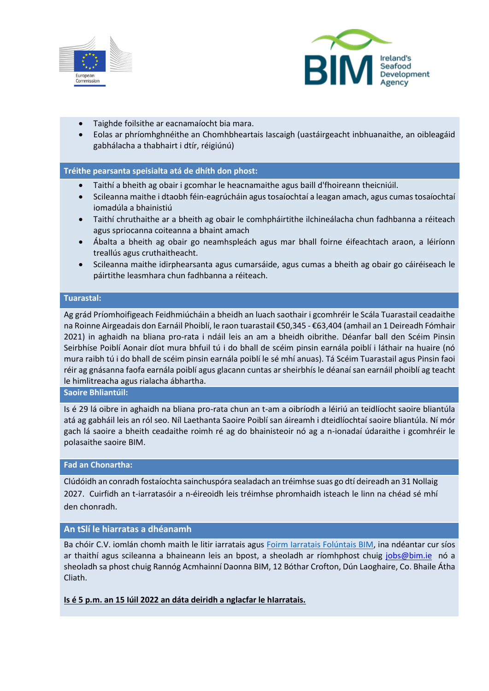



- Taighde foilsithe ar eacnamaíocht bia mara.
- Eolas ar phríomhghnéithe an Chomhbheartais Iascaigh (uastáirgeacht inbhuanaithe, an oibleagáid gabhálacha a thabhairt i dtír, réigiúnú)

### **Tréithe pearsanta speisialta atá de dhíth don phost:**

- Taithí a bheith ag obair i gcomhar le heacnamaithe agus baill d'fhoireann theicniúil.
- Scileanna maithe i dtaobh féin-eagrúcháin agus tosaíochtaí a leagan amach, agus cumas tosaíochtaí iomadúla a bhainistiú
- Taithí chruthaithe ar a bheith ag obair le comhpháirtithe ilchineálacha chun fadhbanna a réiteach agus spriocanna coiteanna a bhaint amach
- Ábalta a bheith ag obair go neamhspleách agus mar bhall foirne éifeachtach araon, a léiríonn treallús agus cruthaitheacht.
- Scileanna maithe idirphearsanta agus cumarsáide, agus cumas a bheith ag obair go cáiréiseach le páirtithe leasmhara chun fadhbanna a réiteach.

#### **Tuarastal:**

Ag grád Príomhoifigeach Feidhmiúcháin a bheidh an luach saothair i gcomhréir le Scála Tuarastail ceadaithe na Roinne Airgeadais don Earnáil Phoiblí, le raon tuarastail €50,345 - €63,404 (amhail an 1 Deireadh Fómhair 2021) in aghaidh na bliana pro-rata i ndáil leis an am a bheidh oibrithe. Déanfar ball den Scéim Pinsin Seirbhíse Poiblí Aonair díot mura bhfuil tú i do bhall de scéim pinsin earnála poiblí i láthair na huaire (nó mura raibh tú i do bhall de scéim pinsin earnála poiblí le sé mhí anuas). Tá Scéim Tuarastail agus Pinsin faoi réir ag gnásanna faofa earnála poiblí agus glacann cuntas ar sheirbhís le déanaí san earnáil phoiblí ag teacht le himlitreacha agus rialacha ábhartha.

# **Saoire Bhliantúil:**

Is é 29 lá oibre in aghaidh na bliana pro-rata chun an t-am a oibríodh a léiriú an teidlíocht saoire bliantúla atá ag gabháil leis an ról seo. Níl Laethanta Saoire Poiblí san áireamh i dteidlíochtaí saoire bliantúla. Ní mór gach lá saoire a bheith ceadaithe roimh ré ag do bhainisteoir nó ag a n-ionadaí údaraithe i gcomhréir le polasaithe saoire BIM.

#### **Fad an Chonartha:**

Clúdóidh an conradh fostaíochta sainchuspóra sealadach an tréimhse suas go dtí deireadh an 31 Nollaig 2027. Cuirfidh an t-iarratasóir a n-éireoidh leis tréimhse phromhaidh isteach le linn na chéad sé mhí den chonradh.

# **An tSlí le hiarratas a dhéanamh**

Ba chóir C.V. iomlán chomh maith le litir iarratais agus [Foirm Iarratais Folúntais BIM,](https://bim.ie/wp-content/uploads/2021/08/BIM-Vacancy-Application-Form.docx) ina ndéantar cur síos ar thaithí agus scileanna a bhaineann leis an bpost, a sheoladh ar ríomhphost chuig [jobs@bim.ie](mailto:jobs@bim.ie) nó a sheoladh sa phost chuig Rannóg Acmhainní Daonna BIM, 12 Bóthar Crofton, Dún Laoghaire, Co. Bhaile Átha Cliath.

**Is é 5 p.m. an 15 Iúil 2022 an dáta deiridh a nglacfar le hIarratais.**